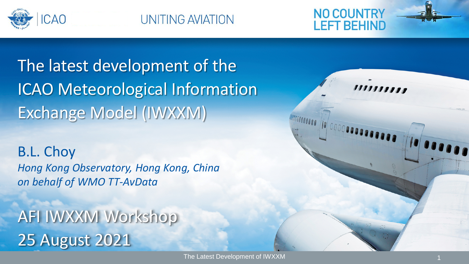

UNITING AVIATION



The latest development of the ICAO Meteorological Information Exchange Model (IWXXM)

B.L. Choy *Hong Kong Observatory, Hong Kong, China on behalf of WMO TT-AvData*

**AFI IWXXM Workshop** 25 August 2021

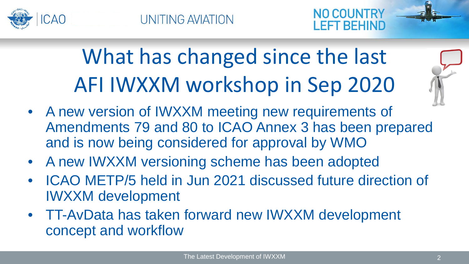



# What has changed since the last AFI IWXXM workshop in Sep 2020



- A new version of IWXXM meeting new requirements of Amendments 79 and 80 to ICAO Annex 3 has been prepared and is now being considered for approval by WMO
- A new IWXXM versioning scheme has been adopted
- ICAO METP/5 held in Jun 2021 discussed future direction of IWXXM development
- TT-AvData has taken forward new IWXXM development concept and workflow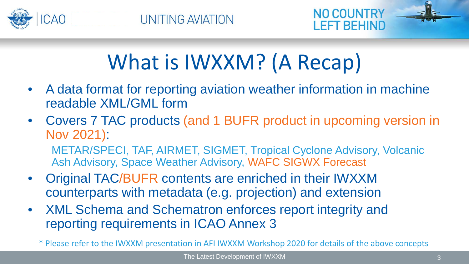



## What is IWXXM? (A Recap)

- A data format for reporting aviation weather information in machine readable XML/GML form
- Covers 7 TAC products (and 1 BUFR product in upcoming version in Nov 2021): METAR/SPECI, TAF, AIRMET, SIGMET, Tropical Cyclone Advisory, Volcanic
	- Ash Advisory, Space Weather Advisory, WAFC SIGWX Forecast
- Original TAC/BUFR contents are enriched in their IWXXM counterparts with metadata (e.g. projection) and extension
- XML Schema and Schematron enforces report integrity and reporting requirements in ICAO Annex 3

\* Please refer to the IWXXM presentation in AFI IWXXM Workshop 2020 for details of the above concepts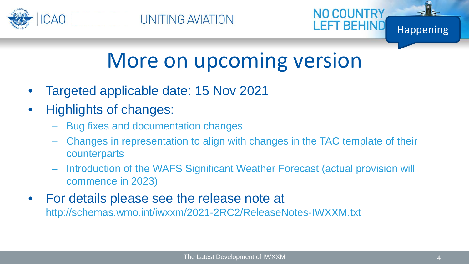



**NO COUNTRY** 

#### More on upcoming version

- Targeted applicable date: 15 Nov 2021
- Highlights of changes:
	- Bug fixes and documentation changes
	- Changes in representation to align with changes in the TAC template of their counterparts
	- Introduction of the WAFS Significant Weather Forecast (actual provision will commence in 2023)
- For details please see the release note at http://schemas.wmo.int/iwxxm/2021-2RC2/ReleaseNotes-IWXXM.txt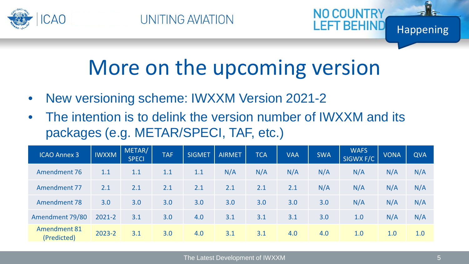



- New versioning scheme: IWXXM Version 2021-2
- The intention is to delink the version number of IWXXM and its packages (e.g. METAR/SPECI, TAF, etc.)

| <b>ICAO Annex 3</b>                | <b>IWXXM</b> | METAR/<br><b>SPECI</b> | <b>TAF</b> | <b>SIGMET</b> | <b>AIRMET</b> | <b>TCA</b> | <b>VAA</b> | <b>SWA</b> | <b>WAFS</b><br>SIGWX F/C | <b>VONA</b> | <b>QVA</b> |
|------------------------------------|--------------|------------------------|------------|---------------|---------------|------------|------------|------------|--------------------------|-------------|------------|
| Amendment 76                       | 1.1          | 1.1                    | 1.1        | 1.1           | N/A           | N/A        | N/A        | N/A        | N/A                      | N/A         | N/A        |
| Amendment 77                       | 2.1          | 2.1                    | 2.1        | 2.1           | 2.1           | 2.1        | 2.1        | N/A        | N/A                      | N/A         | N/A        |
| <b>Amendment 78</b>                | 3.0          | 3.0                    | 3.0        | 3.0           | 3.0           | 3.0        | 3.0        | 3.0        | N/A                      | N/A         | N/A        |
| Amendment 79/80                    | 2021-2       | 3.1                    | 3.0        | 4.0           | 3.1           | 3.1        | 3.1        | 3.0        | 1.0                      | N/A         | N/A        |
| <b>Amendment 81</b><br>(Predicted) | 2023-2       | 3.1                    | 3.0        | 4.0           | 3.1           | 3.1        | 4.0        | 4.0        | 1.0                      | 1.0         | 1.0        |

Happening

NO COUNTRY

LEFT BEHIND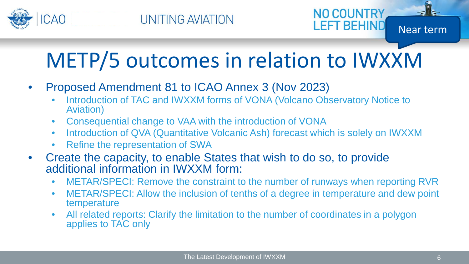

# METP/5 outcomes in relation to IWXXM

- Proposed Amendment 81 to ICAO Annex 3 (Nov 2023)
	- Introduction of TAC and IWXXM forms of VONA (Volcano Observatory Notice to Aviation)
	- Consequential change to VAA with the introduction of VONA
	- Introduction of QVA (Quantitative Volcanic Ash) forecast which is solely on IWXXM
	- Refine the representation of SWA
- Create the capacity, to enable States that wish to do so, to provide additional information in IWXXM form:
	- METAR/SPECI: Remove the constraint to the number of runways when reporting RVR
	- METAR/SPECI: Allow the inclusion of tenths of a degree in temperature and dew point temperature
	- All related reports: Clarify the limitation to the number of coordinates in a polygon applies to TAC only

Near term

**NO COUNTRY** 

**LEFT BEHIND**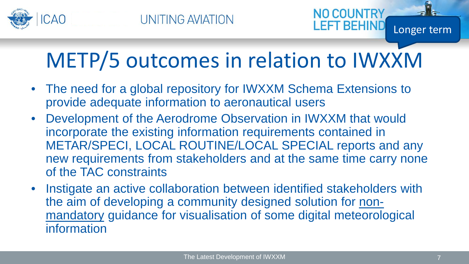

## METP/5 outcomes in relation to IWXXM

- The need for a global repository for IWXXM Schema Extensions to provide adequate information to aeronautical users
- Development of the Aerodrome Observation in IWXXM that would incorporate the existing information requirements contained in METAR/SPECI, LOCAL ROUTINE/LOCAL SPECIAL reports and any new requirements from stakeholders and at the same time carry none of the TAC constraints
- Instigate an active collaboration between identified stakeholders with the aim of developing a community designed solution for nonmandatory guidance for visualisation of some digital meteorological information

Longer term

**NO COUNTR'** 

EFT BEHIN.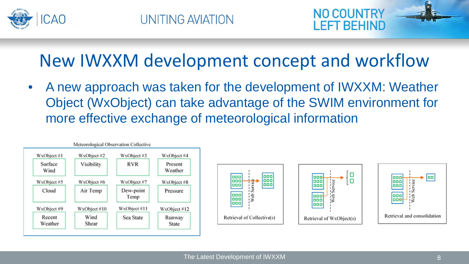



#### New IWXXM development concept and workflow

• A new approach was taken for the development of IWXXM: Weather Object (WxObject) can take advantage of the SWIM environment for more effective exchange of meteorological information

| WxObject #1       | WxObject #2   | WxObject #3       | WxObject #4            |
|-------------------|---------------|-------------------|------------------------|
| Surface<br>Wind   | Visibility    | <b>RVR</b>        | Present<br>Weather     |
| WxObject #5       | WxObject #6   | WxObject #7       | WxObject #8            |
| Cloud             | Air Temp      | Dew-point<br>Temp | Pressure               |
| WxObject #9       | WxObject #10  | WxObject #11      | WxObject #12           |
| Recent<br>Weather | Wind<br>Shear | Sea State         | Runway<br><b>State</b> |



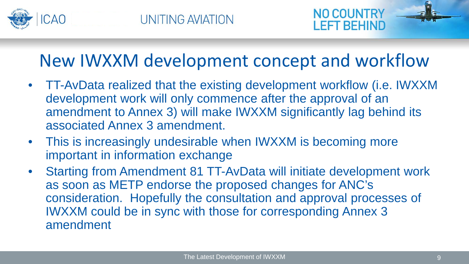



#### New IWXXM development concept and workflow

- TT-AvData realized that the existing development workflow (i.e. IWXXM development work will only commence after the approval of an amendment to Annex 3) will make IWXXM significantly lag behind its associated Annex 3 amendment.
- This is increasingly undesirable when IWXXM is becoming more important in information exchange
- Starting from Amendment 81 TT-AvData will initiate development work as soon as METP endorse the proposed changes for ANC's consideration. Hopefully the consultation and approval processes of IWXXM could be in sync with those for corresponding Annex 3 amendment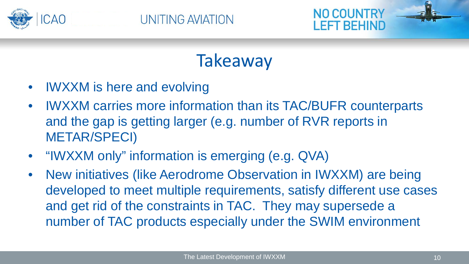



**Takeaway** 

- IWXXM is here and evolving
- IWXXM carries more information than its TAC/BUFR counterparts and the gap is getting larger (e.g. number of RVR reports in METAR/SPECI)
- "IWXXM only" information is emerging (e.g. QVA)
- New initiatives (like Aerodrome Observation in IWXXM) are being developed to meet multiple requirements, satisfy different use cases and get rid of the constraints in TAC. They may supersede a number of TAC products especially under the SWIM environment